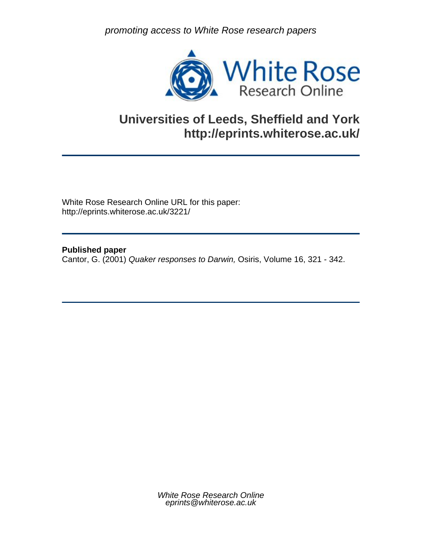*promoting access to White Rose research papers* 



## **Universities of Leeds, Sheffield and York http://eprints.whiterose.ac.uk/**

White Rose Research Online URL for this paper: http://eprints.whiterose.ac.uk/3221/

**Published paper** 

Cantor, G. (2001) *Quaker responses to Darwin,* Osiris, Volume 16, 321 - 342.

*White Rose Research Online eprints@whiterose.ac.uk*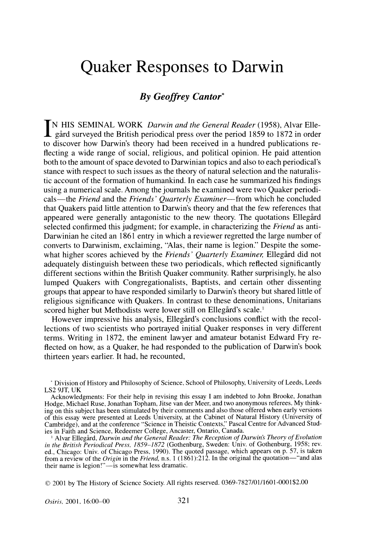# Quaker Responses to Darwin

## *By Geoffrey Cantor\**

IN HIS SEMINAL WORK *Darwin and the General Reader* (1958), Alvar Ellegård surveyed the British periodical press over the period 1859 to 1872 in order gird surveyed the British periodical press over the period 1859 to 1872 in order to discover how Darwin's theory had been received in a hundred publications reflecting a wide range of social, religious, and political opinion. He paid attention both to the amount of space devoted to Darwinian topics and also to each periodical's stance with respect to such issues as the theory of natural selection and the naturalistic account of the formation of humankind. In each case he summarized his findings using a numerical scale. Among the journals he examined were two Quaker periodicals-the *Friend* and the *Friends' Quarterly Examiner-from* which he concluded that Quakers paid little attention to Darwin's theory and that the few references that appeared were generally antagonistic to the new theory. The quotations Ellegird selected confirmed this judgment: for example, in characterizing the *Friend* as anti-Darwinian he cited an 1861 entry in which a reviewer regretted the large number of converts to Darwinism, exclaiming, "Alas. their name is legion." Despite the somewhat higher scores achieved by the *Friends' Quarterly Examiner*, Ellegård did not adequately distinguish between these two periodicals, which reflected significantly different sections within the British Quaker community. Rather surprisingly, he also lumped Quakers with Congregationalists, Baptists, and certain other dissenting groups that appear to have responded similarly to Darwin's theory but shared little of religious significance with Quakers. In contrast to these denominations, Unitarians scored higher but Methodists were lower still on Ellegård's scale.<sup>1</sup>

However impressive his analysis, Ellegård's conclusions conflict with the recollections of two scientists who portrayed initial Quaker responses in very different terms. Writing in 1872. the eminent lawyer and amateur botanist Edward Fry reflected on how, as a Quaker. he had responded to the publication of Darwin's book thirteen years earlier. It had, he recounted,

<sup>1</sup> Alvar Ellegård, *Darwin and the General Reader: The Reception of Darwin's Theory of Evolution* in the British Periodical Press, 1859-1872 (Gothenburg, Sweden: Univ. of Gothenburg, 1958; rev. ed., Chicago: Univ. of Chicago Press. 1990). The quoted passage, which appears on p. 57, is taken from a review of the *Origin* in the *Friend,* n.s. 1 (1861):212. In the original the quotation-"and alas their name is legion!"—is somewhat less dramatic.

02001 by The History of Science Society. All rights reserved. 0369-7827101/1601-0001\$2.00

Osiris. 2001, 16:00-00

 $^{\circ}$  Division of History and Philosophy of Science. School of Philosophy. University of Leeds, Leeds LS2 9JT. UK

Acknowledgments: For their help in revising this essay I am indebted to John Brooke. Jonathan Hodge, Michael Ruse, Jonathan Topham, Jitse van der Meer, and two anonymous referees. My thinking on this subject has been stimulated by their comments and also those offered when early versions of this essay were presented at Leeds University, at the Cabinet of Natural History (University of Cambridge), and at the conference "Science in Theistic Contexts:' Pascal Centre for Advanced Studies in Faith and Science, Redeemer College. Ancaster, Ontario. Canada.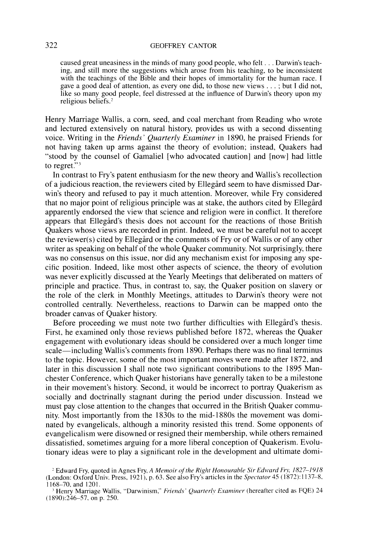## 322 GEOFFREY CANTOR

caused great uneasiness in the minds of many good people, who felt . . . Darwin's teaching. and still more the suggestions which arose from his teaching, to be inconsistent with the teachings of the Bible and their hopes of immortality for the human race. I gave a good deal of attention, as every one did, to those new views . . . ; but I did not, like so many good people, feel distressed at the influence of Darwin's theory upon my religious beliefs.'

Henry Marriage Wallis. a corn. seed, and coal merchant from Reading who wrote and lectured extensively on natural history. provides us with a second dissenting voice. Writing in the *Friends' Quarterly Examiner* in 1890, he praised Friends for not having taken up arms against the theory of evolution: instead, Quakers had "stood by the counsel of Gamaliel [who advocated caution] and [now] had little to regret." $3$ 

In contrast to Fry's patent enthusiasm for the new theory and Wallis's recollection of a judicious reaction. the reviewers cited by Ellegard seem to have dismissed Darwin's theory and refused to pay it much attention. Moreover. while Fry considered that no major point of religious principle was at stake, the authors cited by Ellegard apparently endorsed the view that science and religion were in conflict. It therefore appears that Ellegird's thesis does not account for the reactions of those British Quakers whose views are recorded in print. Indeed. we must be careful not to accept the reviewer(s) cited by Ellegård or the comments of Fry or of Wallis or of any other writer as speaking on behalf of the whole Quaker community. Not surprisingly, there was no consensus on this issue. nor did any mechanism exist for imposing any specific position. Indeed, like most other aspects of science. the theory of evolution was never explicitly discussed at the Yearly Meetings that deliberated on matters of principle and practice. Thus, in contrast to, say, the Quaker position on slavery or the role of the clerk in Monthly Meetings, attitudes to Darwin's theory were not controlled centrally. Nevertheless. reactions to Darwin can be mapped onto the broader canvas of Quaker history.

Before proceeding we must note two further difficulties with Ellegard's thesis. First. he examined only those reviews published before 1872, whereas the Quaker engagement with evolutionary ideas should be considered over a much longer time scale—including Wallis's comments from 1890. Perhaps there was no final terminus to the topic. However. some of the most important moves were made after 1872. and later in this discussion I shall note two significant contributions to the 1895 Manchester Conference, which Quaker historians have generally taken to be a milestone in their movement's history. Second, it would be incorrect to portray Quakerism as socially and doctrinally stagnant during the period under discussion. Instead we must pay close attention to the changes that occurred in the British Quaker community. Most importantly from the 1830s to the mid- 1880s the movement was dominated by evangelicals, although a minority resisted this trend. Some opponents of evangelicalism were disowned or resigned their membership, while others remained dissatisfied. sometimes arguing for a more liberal conception of Quakerism. Evolutionary ideas were to play a significant role in the development and ultimate domi-

<sup>&</sup>lt;sup>2</sup> Edward Fry, quoted in Agnes Fry, A Memoir of the Right Honourable Sir Edward Fry, 1827-1918 (London: Oxford Univ. Press. 192 1 ). p. 63. See also Fry's articles in the *Sprcruror* 45 ( 1872):1 137-8. 1 168-70. and 1201.

Henry Marriage Wallis, "Darwinism," *Friends' Quarterly Examiner* (hereafter cited as FQE) 24  $(1890):246-57$ , on p. 250.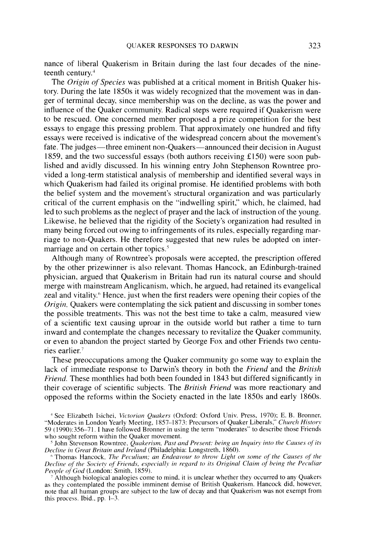nance of liberal Quakerism in Britain during the last four decades of the nineteenth century.<sup>4</sup>

The *Origin of Species* was published at a critical moment in British Quaker history. During the late 1850s it was widely recognized that the movement was in danger of terminal decay, since membership was on the decline. as was the power and influence of the Quaker community. Radical steps were required if Quakerism were to be rescued. One concerned member proposed a prize competition for the best essays to engage this pressing problem. That approximately one hundred and fifty essays were received is indicative of the widespread concern about the movement's fate. The judges—three eminent non-Quakers—announced their decision in August 1859, and the two successful essays (both authors receiving £150) were soon published and avidly discussed. In his winning entry John Stephenson Rowntree provided a long-term statistical analysis of membership and identified several ways in which Quakerism had failed its original promise. He identified problems with both the belief system and the movement's structural organization and was particularly critical of the current emphasis on the "indwelling spirit," which, he claimed, had led to such problems as the neglect of prayer and the lack of instruction of the young. Likewise, he believed that the rigidity of the Society's organization had resulted in many being forced out owing to infringements of its rules. especially regarding marriage to non-Quakers. He therefore suggested that new rules be adopted on intermarriage and on certain other topics.<sup>5</sup>

Although many of Rowntree's proposals were accepted, the prescription offered by the other prizewinner is also relevant. Thomas Hancock, an Edinburgh-trained physician. argued that Quakerism in Britain had run its natural course and should merge with mainstream Anglicanism. which. he argued. had retained its evangelical zeal and vitality.<sup>6</sup> Hence, just when the first readers were opening their copies of the *Origin*, Quakers were contemplating the sick patient and discussing in somber tones the possible treatments. This was not the best time to take a calm, measured view of a scientific text causing uproar in the outside world but rather a time to turn inward and contemplate the changes necessary to revitalize the Quaker community. or even to abandon the project started by George Fox and other Friends two centuries earlier.<sup>7</sup>

These preoccupations among the Quaker community go some way to explain the lack of immediate response to Darwin's theory in both the *Frierld* and the *British Frierld.* These monthlies had both been founded in 1843 but differed significantly in their co\erage of scientific subjects. The *British Frierld* was more reactionary and opposed the reforms within the Society enacted in the late 1850s and early 1860s.

<sup>4</sup> See Elizabeth Isichei, *Victorian Quakers* (Oxford: Oxford Univ. Press, 1970); E. B. Bronner, "Moderates in London Yearly Meeting, 1857–1873: Precursors of Quaker Liberals," *Church History* 59 (1990):356-71. *I* have followed Bronner in using the term "moderates" to describe those Friends who sought reform within the Quaker movement.

 $\frac{1}{5}$  John Stevenson Rowntree, Quakerism, Past and Present: being an Inquiry into the Causes of its *Decline in Great Britain and Ireland* (Philadelphia: Longstreth, 1860).

 $^{\circ}$  Thomas Hancock. *The Peculium; an Endeavour to throw Light on some of the Causes of the Decline of the Society of Friends, especially in regard to its Original Claim of being the Peculiar People of God* (London: Smith, 1859).

Although biological analogies come to mind, it is unclear whether they occurred to any Quakers as they contemplated the possible imminent demise of British Quakerism. Hancock did, however, note that all human groups are wbject to the law of decay and that Quakerim was not exempt from this process. Tbid.. pp. 1-3.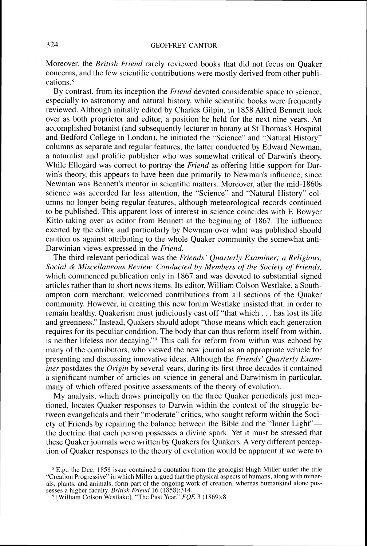## **3**24 GEOFFREY CANTOR

Moreover, the *Britisli Friend* rarely reviewed books that did not focus on Quaker concerns, and the few scientific contributions were mostly derived from other publications.<sup>8</sup>

By contrast, from its inception the *Friend* devoted considerable space to science, especially to astronomy and natural history. while scientific books were frequently reviewed. Although initially edited by Charles Gilpin, in 1858 Alfred Bennett took over as both proprietor and editor, a position he held for the next nine years. An accomplished botanist (and subsequently lecturer in botany at St Thomas's Hospital and Bedford College in London), he initiated the "Science" and "Natural History" columns as separate and regular features. the latter conducted by Edward Newman, a naturalist and prolific publisher who was somewhat critical of Darwin's theory. While Ellegård was correct to portray the *Friend* as offering little support for Darwin's theory, this appears to have been due primarily to Newman's influence. since Newman was Bennett's mentor in scientific matters. Moreover, after the mid-1860s science was accorded far less attention, the "Science" and "Natural History" columns no longer being regular features, although meteorological records continued to be published. This apparent loss of interest in science coincides with F. Bowyer Kitto taking over as editor from Bennett at the beginning of 1867. The influence exerted by the editor and particularly by Newman over what was published should caution us against attributing to the whole Quaker community the somewhat anti-Darwinian views expressed in the *Friend.* 

The third relevant periodical was the *Friends' Quarterly Examiner; a Religious, Social & Miscellaneous Review, Conducted by Members of the Society of Friends,* which commenced publication only in 1867 and was devoted to substantial signed articles rather than to short news items. Its editor, William Colson Westlake, a Southampton corn merchant. welcomed contributions from all sections of the Quaker community. However, in creating this new forum Westlake insisted that. in order to remain healthy. Quakerism must judiciously cast off "that which . . . has lost its life and greenness." Instead. Quakers should adopt "those means which each generation requires for its peculiar condition. The body that can thus reform itself from within, is neither lifeless nor decaying."<sup>9</sup> This call for reform from within was echoed by many of the contributors, who viewed the new journal as an appropriate vehicle for presenting and discussing innovative ideas. Although the *Friends' Quarterly Examiner* postdates the *Origin* by several years, during its first three decades it contained a significant number of articles on science in general and Darwinism in particular, many of which offered positive assessments of the theory of evolution.

My analysis. which draws principally on the three Quaker periodicals just mentioned. locates Quaker responses to Darwin within the context of the struggle between evangelicals and their "moderate" critics, who sought reform within the Society of Friends by repairing the balance between the Bible and the "Inner Light"the doctrine that each person possesses a divine spark. Yet it must be stressed that these Quaker journals were written by Quakers for Quakers. A very different perception of Quaker responses to the theory of evolution would be apparent if we were to

<sup>&#</sup>x27;E.g.. the Dec. 1x58 issue contained a quotation from the geologist Hugh Miller under the title "Creation Progressive" in which Miller argued that the physical aspects of humans, along with minerals. plants. and animals. form part of the ongoing work of creation. whereas humankind alone possesses a higher faculty. *British Friend* 16 (1858):314.<br>
<sup>9</sup> [William Colson Westlake]. "The Past Year." *FQE* 3 (1869):8.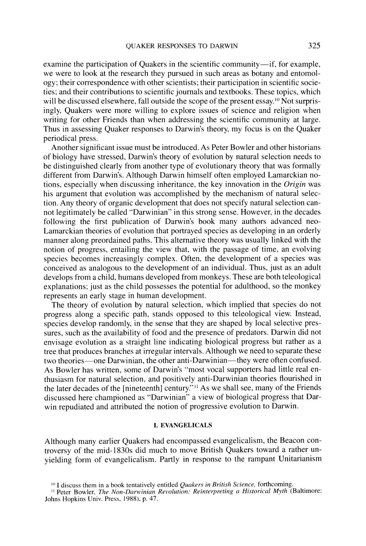examine the participation of Quakers in the scientific community—if, for example, we were to look at the research they pursued in such areas as botany and entomology: their correspondence with other scientists; their participation in scientific societies; and their contributions to scientific journals and textbooks. These topics. which will be discussed elsewhere, fall outside the scope of the present essay.<sup>10</sup> Not surprisingly. Quakers were more willing to explore issues of science and religion when writing for other Friends than when addressing the scientific community at large. Thus in assessing Quaker responses to Darwin's theory. my focus is on the Quaker periodical press.

Another significant issue must be introduced. As Peter Bowler and other historians of biology have stressed. Darwin's theory of evolution by natural selection needs to be distinguished clearly from another type of evolutionary theory that was formally different from Darwin's. Although Darwin himself often employed Lamarckian notions. especially when discussing inheritance, the key innovation in the **Origin** was his argument that evolution was accomplished by the mechanism of natural selection. Any theory of organic development that does not specify natural selection cannot legitimately be called "Darwinian" in this strong sense. However, in the decades following the first publication of Darwin's book many authors advanced neo-Lamarckian theories of evolution that portrayed species as developing in an orderly manner along preordained paths. This alternative theory was usually linked with the notion of progress, entailing the view that, with the passage of time. an evolving species becomes increasingly complex. Often. the development of a species was conceived as analogous to the development of an individual. Thus, just as an adult develops from a child, humans developed from monkeys. These are both teleological explanations; just as the child possesses the potential for adulthood. so the monkey represents an early stage in human development.

The theory of evolution by natural selection, which implied that species do not progress along a specific path. stands opposed to this teleological view. Instead, species develop randomly, in the sense that they are shaped by local selective pressures. such as the availability of food and the presence of predators. Darwin did not envisage evolution as a straight line indicating biological progress but rather as a tree that produces branches at irregular intervals. Although we need to separate these two theories-one Darwinian, the other anti-Darwinian-they were often confused. As Bowler has written, some of Darwin's "most vocal supporters had little real enthusiasm for natural selection. and positively anti-Darwinian theories flourished in the later decades of the [nineteenth] century."<sup>11</sup> As we shall see, many of the Friends discussed here championed as "Darwinian" a view of biological progress that Darwin repudiated and attributed the notion of progressive evolution to Darwin.

#### **I. EVANGELICALS**

Although many earlier Quakers had encompassed evangelicalism, the Beacon controversy of the mid-1830s did much to move British Quakers toward a rather unyielding form of evangelicalism. Partly in response to the rampant Unitarianism

<sup>&</sup>lt;sup>10</sup> I discuss them in a book tentatively entitled *Quakers in British Science*, forthcoming.

<sup>&</sup>lt;sup>11</sup> Peter Bowler, *The Non-Darwinian Revolution: Reinterpreting a Historical Myth (Baltimore:* Johns Hopkins Univ. Press, 1988), p. 47.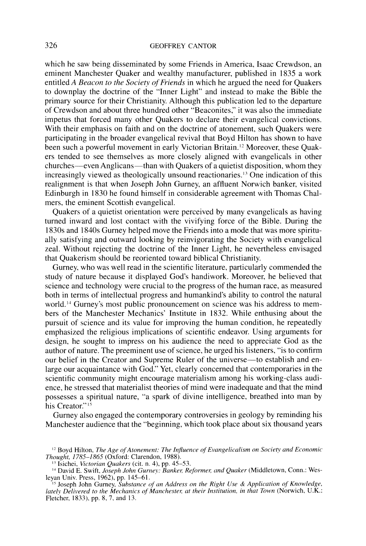which he saw being disseminated by some Friends in America. Isaac Crewdson, an eminent Manchester Quaker and wealthy manufacturer, published in 1835 a work entitled *A Beacon to the Society of Friends* in which he argued the need for Quakers to downplay the doctrine of the "Inner Light" and instead to make the Bible the primary source for their Christianity. Although this publication led to the departure of Crewdson and about three hundred other "Beaconites," it was also the immediate impetus that forced many other Quakers to declare their evangelical convictions. With their emphasis on faith and on the doctrine of atonement, such Quakers were participating in the broader evangelical revival that Boyd Hilton has shown to have been such a powerful movement in early Victorian Britain." Moreover. these Quakers tended to see themselves as more closely aligned with evangelicals in other churches—even Anglicans—than with Quakers of a quietist disposition, whom they increasingly viewed as theologically unsound reactionaries.13 One indication of this realignment is that when Joseph John Gurney, an affluent Norwich banker, visited Edinburgh in 1830 he found himself in considerable agreement with Thomas Chalmers. the eminent Scottish evangelical.

Quakers of a quietist orientation were perceived by many evangelicals as having turned inward and lost contact with the vivifying force of the Bible. During the 1830s and 1810s Gurney helped move the Friends into a mode that was more spiritually satisfying and outward looking by reinvigorating the Society with evangelical zeal. Without rejecting the doctrine of the Inner Light, he nevertheless envisaged that Quakerism should be reoriented toward biblical Christianity.

Gurney. who was well read in the scientific literature. particularly commended the study of nature because it displayed God's handiwork. Moreover, he believed that science and technology were crucial to the progress of the human race. as measured both in terms of intellectual progress and humankind's ability to control the natural world.<sup>14</sup> Gurney's most public pronouncement on science was his address to members of the Manchester Mechanics' Institute in 1832. While enthusing about the pursuit of science and its value for improving the human condition, he repeatedly emphasized the religious implications of scientific endeavor. Using arguments for design. he sought to impress on his audience the need to appreciate God as the author of nature. The preeminent use of science, he urged his listeners, "is to confirm our belief in the Creator and Supreme Ruler of the universe—to establish and enlarge our acquaintance with God." Yet. clearly concerned that contemporaries in the scientific community might encourage materialism among his working-class audience, he stressed that materialist theories of mind were inadequate and that the mind possesses a spiritual nature. "a spark of divine intelligence, breathed into man by his Creator."<sup>15</sup>

Gurney also engaged the contemporary controversies in geology by reminding his Manchester audience that the "beginning, which took place about six thousand years

<sup>&</sup>lt;sup>12</sup> Boyd Hilton, *The Age of Atonement: The Influence of Evangelicalism on Society and Economic Thought. 1785-1865* (Oxford: Clarendon. 1988).

<sup>&</sup>lt;sup>13</sup> Isichei, *Victorian Quakers* (cit. n. 4), pp. 45-53.

<sup>&</sup>lt;sup>14</sup> David E. Swift, *Joseph John Gurney: Banker, Reformer, and Quaker (Middletown, Conn.: Wes*leyan Univ. Press, 1962), pp. 145–61.

<sup>&</sup>lt;sup>5</sup> Joseph John Gurney, *Substance of an Address on the Right Use & Application of Knowledge, lately Delivered to the Mechanics of Manchester, at their Institution, in that Town (Norwich, U.K.: intity U.K.: intity normich*. *U.K.: intity normich*. *U.K.: intity normich*. *U.K.: intity nongi* Fletcher. 1833). pp. 8. 7. and 13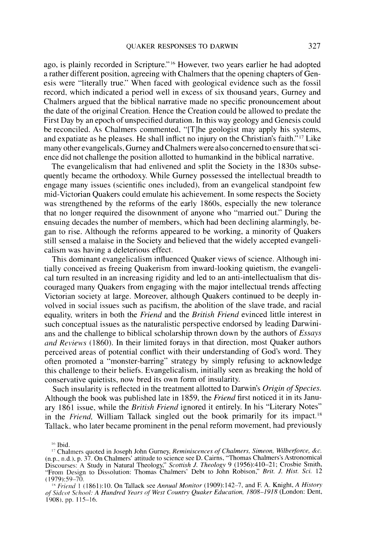ago, is plainly recorded in Scripture."<sup>16</sup> However, two years earlier he had adopted a rather different position, agreeing with Chalmers that the opening chapters of Genesis were "literally true." When faced with geological evidence such as the fossil record. which indicated a period well in excess of six thousand years, Gurney and Chalmers argued that the biblical narrative made no specific pronouncement about the date of the original Creation. Hence the Creation could be allowed to predate the First Day by an epoch of unspecified duration. In this way geology and Genesis could be reconciled. As Chalrners commented. "[Tlhe geologist may apply his systems, and expatiate as he pleases. He shall inflict no injury on the Christian's faith."" Like many other evangelicals, Gurney and Chalmers were also concerned to ensure that science did not challenge the position allotted to humankind in the biblical narrative.

The evangelicalism that had enlivened and split the Society in the 1830s subsequently became the orthodoxy. While Gurney possessed the intellectual breadth to engage many issues (scientific ones included), from an evangelical standpoint few mid-Victorian Quakers could emulate his achievement. In some respects the Society was strengthened by the reforms of the early 1860s. especially the new tolerance that no longer required the disownment of anyone who "married out." During the ensuing decades the number of members. which had been declining alarmingly. began to rise. Although the reforms appeared to be working, a minority of Quakers still sensed a malaise in the Society and believed that the widely accepted evangelicalism was having a deleterious effect.

This dominant evangelicalism influenced Quaker views of science. Although initially conceived as freeing Quakerism from inward-looking quietism, the evangelical turn resulted in an increasing rigidity and led to an anti-intellectualism that discouraged many Quakers from engaging with the major intellectual trends affecting Victorian society at large. Moreover. although Quakers continued to be deeply involved in social issues such as pacifism, the abolition of the slave trade. and racial equality. writers in both the *Frierld* and the *British Friend* evinced little interest in such conceptual issues as the naturalistic perspective endorsed by leading Darwinians and the challenge to biblical scholarship thrown down by the authors of *Essays* and *Reviews* (1860). In their limited forays in that direction, most Quaker authors perceived areas of potential conflict with their understanding of God's word. They often promoted a "monster-barring" strategy by simply refusing to acknowledge this challenge to their beliefs. Evangelicalism. initially seen as breaking the hold of conservative quietists, now bred its own form of insularity.

Such insularity is reflected in the treatment allotted to Darwin's Origin of Species. Although the book was published late in 1859. the *Friend* first noticed it in its January 1861 issue, while the *British Friend* ignored it entirely. In his "Literary Notes" in the *Friend*, William Tallack singled out the book primarily for its impact.<sup>18</sup> Tallack. who later became prominent in the penal reform movement. had previously

<sup>16</sup> Ibid.

<sup>&</sup>lt;sup>17</sup> Chalmers quoted in Joseph John Gurney, *Reminiscences of Chalmers, Simeon, Wilberforce, &c.* (n.p.. n.d.). p. *37.* On Chalmers' attitude to science see D. Cairns. "Thomas Chalmers's Astronomical Discourses: A Study in Natural Theology." *Scottish* J. *Theology* 9 (1956):410-21; Crosbie Smith, '.From Design to Dis5olution: Thomas Chalmers' Debt to John Robison." *Brit.* J. *Hist. Sci.* 12  $(1979):59-70.$ 

<sup>&</sup>lt;sup>18</sup> Friend 1 (1861): 10. On Tallack see *Annual Monitor* (1909): 142-7, and F. A. Knight, A *History* of Sidcot School: A Hundred Years of West Country Quaker Education, 1808-1918 (London: Dent, 1908), pp. 115-16.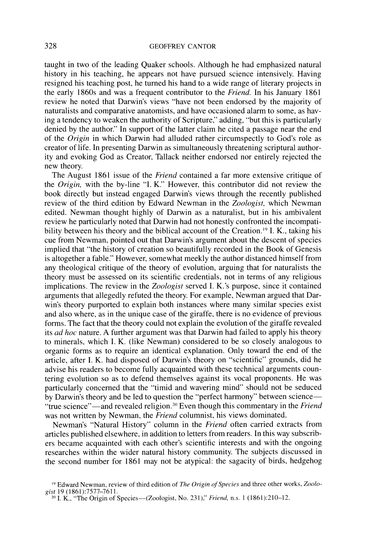taught in two of the leading Quaker schools. Although he had emphasized natural history in his teaching, he appears not have pursued science intensively. Having resigned his teaching post, he turned his hand to a wide range of literary projects in the early 1860s and was a frequent contributor to the *Friend.* In his January 186 1 review he noted that Darwin's views "have not been endorsed by the majority of naturalists and comparative anatomists, and have occasioned alarm to some, as having a tendency to weaken the authority of Scripture," adding, "but this is particularly denied by the author." In support of the latter claim he cited a passage near the end of the *Origin* in which Darwin had alluded rather circumspectly to God's role as creator of life. In presenting Darwin as simultaneously threatening scriptural authority and evoking God as Creator, Tallack neither endorsed nor entirely rejected the new theory.

The August 1861 issue of the *Friend* contained a far more extensive critique of the *Origin,* with the by-line "I. K." However, this contributor did not review the book directly but instead engaged Darwin's views through the recently published review of the third edition by Edward Newman in the *Zoologist,* which Newman edited. Newman thought highly of Darwin as a naturalist, but in his ambivalent review he particularly noted that Darwin had not honestly confronted the incompatibility between his theory and the biblical account of the Creation.<sup>19</sup> I. K., taking his cue from Newman, pointed out that Darwin's argument about the descent of species implied that "the history of creation so beautifully recorded in the Book of Genesis is altogether a fable." However, somewhat meekly the author distanced himself from any theological critique of the theory of evolution, arguing that for naturalists the theory must be assessed on its scientific credentials, not in terms of any religious implications. The review in the *Zoologist* served 1. K.'s purpose, since it contained arguments that allegedly refuted the theory. For example, Newman argued that Darwin's theory purported to explain both instances where many similar species exist and also where, as in the unique case of the giraffe, there is no evidence of previous forms. The fact that the theory could not explain the evolution of the giraffe revealed its *ad hoc* nature. A further argument was that Darwin had failed to apply his theory to minerals, which I. K. (like Newman) considered to be so closely analogous to organic forms as to require an identical explanation. Only toward the end of the article, after I. K. had disposed of Darwin's theory on "scientific" grounds, did he advise his readers to become fully acquainted with these technical arguments countering evolution so as to defend themselves against its vocal proponents. He was particularly concerned that the "timid and wavering mind" should not be seduced by Darwin's theory and be led to question the "perfect harmony" between science-"true science"—and revealed religion.<sup>20</sup> Even though this commentary in the *Friend* was not written by Newman, the *Friend* columnist, his views dominated.

Newman's "Natural History" column in the *Friend* often carried extracts from articles published elsewhere, in addition to letters from readers. In this way subscribers became acquainted with each other's scientific interests and with the ongoing researches within the wider natural history community. The subjects discussed in the second number for 1861 may not be atypical: the sagacity of birds, hedgehog

<sup>&</sup>lt;sup>19</sup> Edward Newman, review of third edition of *The Origin of Species* and three other works, *Zoolo*gist 19 (1861):7577-7611.

I. K., "The Origin of Species-(Zoologist, No. 23 1 ):' *Friend,* n.s. 1 (1861):210-12.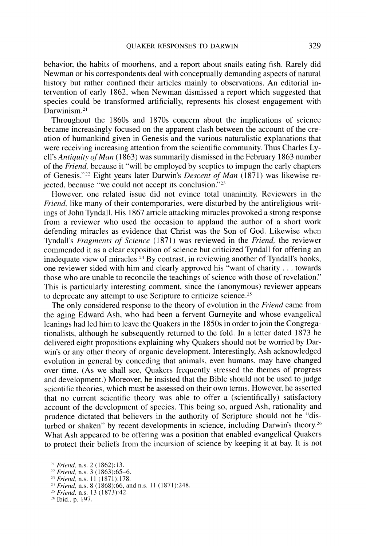behavior, the habits of moorhens, and a report about snails eating fish. Rarely did Newman or his correspondents deal with conceptually demanding aspects of natural history but rather confined their articles mainly to observations. An editorial intervention of early 1862, when Newman dismissed a report which suggested that species could be transformed artificially, represents his closest engagement with Darwinism.<sup>21</sup>

Throughout the 1860s and 1870s concern about the implications of science became increasingly focused on the apparent clash between the account of the creation of humankind given in Genesis and the various naturalistic explanations that were receiving increasing attention from the scientific community. Thus Charles Lyell's *Antiquity of Man* (1863) was summarily dismissed in the February 1863 number of the *Friend,* because it "will be employed by sceptics to impugn the early chapters of Genesis."" Eight years later Darwin's *Descent* of *Man* (1871) was likewise rejected, because "we could not accept its conclusion." $23$ 

However, one related issue did not evince total unanimity. Reviewers in the *Friend,* like many of their contemporaries, were disturbed by the antireligious writings of John Tyndall. His 1867 article attacking miracles provoked a strong response from a reviewer who used the occasion to applaud the author of a short work defending miracles as evidence that Christ was the Son of God. Likewise when Tyndall's *Fragments* of *Science* ( 187 1) was reviewed in the *Friend,* the reviewer commended it as a clear exposition of science but criticized Tyndall for offering an inadequate view of miracles.<sup>24</sup> By contrast, in reviewing another of Tyndall's books, one reviewer sided with him and clearly approved his "want of charity . . . towards those who are unable to reconcile the teachings of science with those of revelation." This is particularly interesting comment. since the (anonymous) reviewer appears to deprecate any attempt to use Scripture to criticize science.<sup>25</sup>

The only considered response to the theory of evolution in the *Friend* came from the aging Edward Ash, who had been a fervent Gurneyite and whose evangelical leanings had led him to leave the Quakers in the 1850s in order to join the Congregationalists, although he subsequently returned to the fold. In a letter dated 1873 he delivered eight propositions explaining why Quakers should not be worried by Darwin's or any other theory of organic development. Interestingly, Ash acknowledged evolution in general by conceding that animals, even humans, may have changed over time. (As we shall see, Quakers frequently stressed the themes of progress and development.) Moreover, he insisted that the Bible should not be used to judge scientific theories, which must be assessed on their own terms. However, he asserted that no current scientific theory was able to offer a (scientifically) satisfactory account of the development of species. This being so, argued Ash, rationality and prudence dictated that believers in the authority of Scripture should not be "disturbed or shaken" by recent developments in science, including Darwin's theory.<sup>26</sup> What Ash appeared to be offering was a position that enabled evangelical Quakers to protect their beliefs from the incursion of science by keeping it at bay. It is not

<sup>&</sup>lt;sup>21</sup> Friend, n.s. 2 (1862):13.

 $\frac{22}{12}$  *Friend*, n.s. 3 (1863): 65–6.<br>  $\frac{23}{12}$  *Friend*, n.s. 11 (1871): 178.

<sup>&</sup>lt;sup>3</sup> *Friend*, n.s. 11 (1871):178.<br><sup>4</sup> *Friend*, n.s. 8 (1868):66, and n.s. 11 (1871):248.

<sup>&</sup>lt;sup>25</sup> Friend, n.s. 13 (1873):42.

<sup>&</sup>lt;sup>26</sup> Ibid., p. 197.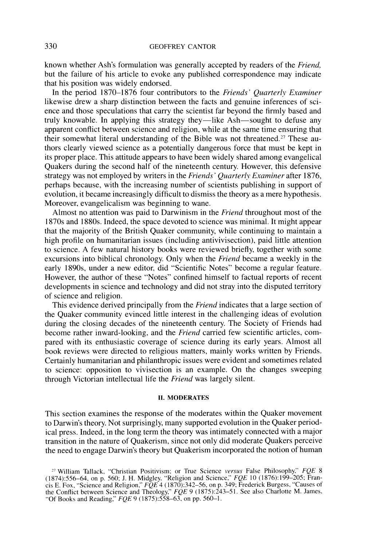known whether Ash's formulation was generally accepted by readers of the *Friend.*  but the failure of his article to evoke any published correspondence may indicate that his position was widely endorsed.

In the period 1870–1876 four contributors to the *Friends' Quarterly Examiner* likewise drew a sharp distinction between the facts and genuine inferences of science and those speculations that carry the scientist far beyond the firmly based and truly knowable. In applying this strategy they—like Ash—sought to defuse any apparent conflict between science and religion, while at the same time ensuring that their somewhat literal understanding of the Bible was not threatened.<sup>27</sup> These authors clearly viewed science as a potentially dangerous force that must be kept in its proper place. This attitude appears to have been widely shared among evangelical Quakers during the second half of the nineteenth century. However, this defensive strategy was not employed by writers in the *Friends' Quarterly Examiner* after 1876, perhaps because, with the increasing number of scientists publishing in support of evolution, it became increasingly difficult to dismiss the theory as a mere hypothesis. Moreover, evangelicalism was beginning to wane.

Almost no attention was paid to Darwinism in the *Friend* throughout most of the 1870s and 1880s. Indeed, the space devoted to science was minimal. It might appear that the majority of the British Quaker community. while continuing to maintain a high profile on humanitarian issues (including antivivisection), paid little attention to science. A few natural history books were reviewed briefly, together with some excursions into biblical chronology. Only when the *Friend* became a weekly in the early 1890s, under a new editor. did "Scientific Notes" become a regular feature. However, the author of these "Notes" confined himself to factual reports of recent developments in science and technology and did not stray into the disputed territory of science and religion.

This evidence derived principally from the *Friend* indicates that a large section of the Quaker community evinced little interest in the challenging ideas of evolution during the closing decades of the nineteenth century. The Society of Friends had become rather inward-looking, and the *Friend* carried few scientific articles, compared with its enthusiastic coverage of science during its early years. Almost all book reviews were directed to religious matters, mainly works written by Friends. Certainly humanitarian and philanthropic issues were evident and sometimes related to science: opposition to vivisection is an example. On the changes sweeping through Victorian intellectual life the *Friend* was largely silent.

#### **11. MODERATES**

This section examines the response of the moderates within the Quaker movement to Darwin's theory. Not surprisingly, many supported evolution in the Quaker periodical press. Indeed, in the long term the theory was intimately connected with a major transition in the nature of Quakerism, since not only did moderate Quakers perceive the need to engage Darwin's theory but Quakerism incorporated the notion of human

<sup>&</sup>lt;sup>27</sup> William Tallack, "Christian Positivism; or True Science *versus* False Philosophy," *FQE* 8 (1874):556-64. on p. 560; J. H. Midgley, "Religion and Science." *FQE* 10 ( 1876): 199-205: Francis E. Fox, "Science and Religion." *FQE* 4 (1 870):342-56, on p. 339: Frederick Burgess, "Causes of the Conflict between Science and Theology." *FQE* 9 (1875):243-51. See also Charlotte M. James. "Of Books and Reading." *FQE* 9 (1875):558-63. on pp. 560-1.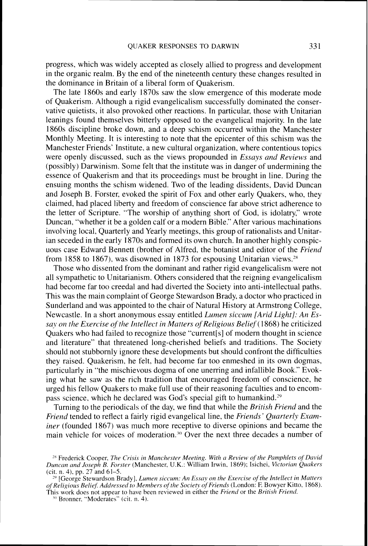progress, which was widely accepted as closely allied to progress and development in the organic realm. By the end of the nineteenth century these changes resulted in the dominance in Britain of a liberal form of Quakerism.

The late 1860s and early 1870s saw the slow emergence of this moderate mode of Quakerism. Although a rigid evangelicalism successfully dominated the conservative quietists, it also provoked other reactions. In particular, those with Unitarian leanings found themselves bitterly opposed to the evangelical majority. In the late 1860s discipline broke down, and a deep schism occurred within the Manchester Monthly Meeting. It is interesting to note that the epicenter of this schism was the Manchester Friends' Institute, a new cultural organization, where contentious topics were openly discussed, such as the views propounded in *Essays and Reviews* and (possibly) Darwinism. Some felt that the institute was in danger of undermining the essence of Quakerism and that its proceedings must be brought in line. During the ensuing months the schism widened. Two of the leading dissidents, David Duncan and Joseph B. Forster, evoked the spirit of Fox and other early Quakers, who, they claimed. had placed liberty and freedom of conscience far above strict adherence to the letter of Scripture. "The worship of anything short of God, is idolatry." wrote Duncan. "whether it be a golden calf or a modern Bible." After various machinations involving local, Quarterly and Yearly meetings, this group of rationalists and Unitarian seceded in the early 1870s and formed its own church. In another highly conspicuous case Edward Bennett (brother of Alfred, the botanist and editor of the *Friend* from 1858 to 1867), was disowned in 1873 for espousing Unitarian views.<sup>28</sup>

Those who dissented from the dominant and rather rigid evangelicalism were not all sympathetic to Unitarianism. Others considered that the reigning evangelicalism had become far too creedal and had diverted the Society into anti-intellectual paths. This was the main complaint of George Stewardson Brady, a doctor who practiced in Sunderland and was appointed to the chair of Natural History at Armstrong College. Newcastle. In a short anonymous essay entitled *Lumen siccum [Arid Light]*: An Es*say on the Exercise of the Intellect in Matters of Religious Belief* (1868) he criticized Quakers who had failed to recognize those "current[sJ of modern thought in science and literature" that threatened long-cherished beliefs and traditions. The Society should not stubbornly ignore these developments but should confront the difficulties they raised. Quakerism. he felt, had become far too enmeshed in its own dogmas, particularly in "the mischievous dogma of one unerring and infallible Book." Evoking what he saw as the rich tradition that encouraged freedom of conscience, he urged his fellow Quakers to make full use of their reasoning faculties and to encompass science, which he declared was God's special gift to humankind. $29$ 

Turning to the periodicals of the day. we find that while the *Britisll Friend* and the *Friend* tended to reflect a fairly rigid evangelical line, the *Friends' Quarterly Examiner* (founded 1867) was much more receptive to diverse opinions and became the main vehicle for voices of moderation.<sup>30</sup> Over the next three decades a number of

<sup>&</sup>lt;sup>28</sup> Frederick Cooper, The Crisis in Manchester Meeting. With a Review of the Pamphlets of David *Duncan and Joseph B. Forster* (Manchester, U.K.: William Irwin, 1869); Isichei, *Victorian Quakers (cit. n. 4), pp. 27 and 61–5.* 

<sup>&</sup>lt;sup>29</sup> [George Stewardson Brady], *Lumen siccum: An Essay on the Exercise of the Intellect in Matters n/'Rcli,qiou.s Beliqf: Adtfre.s.\.eil to Mcnlhers ofthe Society of Friunds* (London: *F.* Bowyer Kitto. 1868). This work does not appear to have been reviewed in either the *Friend* or the *British Friend*.<br><sup>30</sup> Bronner, "Moderates" (cit. n. 4).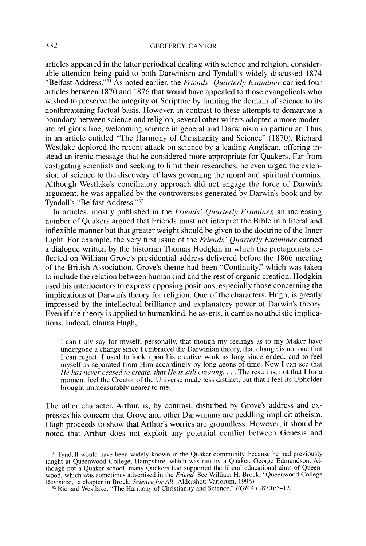articles appeared in the latter periodical dealing with science and religion, considerable attention being paid to both Darwinism and Tyndall's widely discussed 1874 "Belfast Address."<sup>31</sup> As noted earlier, the *Friends' Quarterly Examiner* carried four articles between 1870 and 1876 that would have appealed to those evangelicals who wished to preserve the integrity of Scripture by limiting the domain of science to its nonthreatening factual basis. However, in contrast to these attempts to demarcate a boundary between science and religion. several other writers adopted a more moderate religious line, welcoming science in general and Darwinism in particular. Thus in an article entitled "The Harmony of Christianity and Science" (1870). Richard Westlake deplored the recent attack on science by a leading Anglican, offering instead an irenic message that he considered more appropriate for Quakers. Far from castigating scientists and seeking to limit their researches, he even urged the extension of science to the discovery of laws governing the moral and spiritual domains. Although Westlake's conciliatory approach did not engage the force of Darwin's argument, he was appalled by the controversies generated by Darwin's book and by Tyndall's "Belfast Address."<sup>32</sup>

In articles, mostly published in the *Friends' Quarterly Examiner*; an increasing number of Quakers argued that Friends must not interpret the Bible in a literal and inflexible manner but that greater weight should be given to the doctrine of the Inner Light. For example, the very first issue of the *Friends' Quarterly Examiner* carried a dialogue written by the historian Thomas Hodgkin in which the protagonists reflected on William Grove's presidential address delivered before the 1866 meeting of the British Association. Grove's theme had been "Continuity," which was taken to include the relation between humankind and the rest of organic creation. Hodgkin used his interlocutors to express opposing positions. especially those concerning the implications of Darwin's theory for religion. One of the characters. Hugh. is greatly impressed by the intellectual brilliance and explanatory power of Darwin's theory. Even if the theory is applied to humankind, he asserts, it carries no atheistic implications. Indeed. claims Hugh,

I can truly say for myself, personally, that though my feelings as to my Maker have undergone a change since I embraced the Darwinian theory. that change is not one that 1 can regret. I used to look upon his creative work as long since ended. and to feel myself as separated from Him accordingly by long aeons of time. Now I can see that He has never ceased to create, that He is still creating. . . . The result is, not that I for a moment feel the Creator of the Universe made less distinct. but that I feel its Upholder brought immeasurably nearer to me.

The other character, Arthur, is, by contrast, disturbed by Grove's address and expresses his concern that Grove and other Darwinians are peddling implicit atheism. Hugh proceeds to show that Arthur's worries are groundless. However, it should be noted that Arthur does not exploit any potential conflict between Genesis and

<sup>&</sup>lt;sup>31</sup> Tyndall would have been widely known in the Quaker community, because he had previously taught at Queenwood College. Hampshire. which was run by a Quaker. George Edmundson. Although not a Quaker school. many Quakers had supported the liberal educational aims of Queenwood. which was sometimes advertised in the *Frierld.* See William H. Brock. "Queenwood College Revisited,'' a chapter in Brock. *Science for All* (Aldershot: Variorum. 1996).<br><sup>32</sup> Richard Westlake. "The Harmony of Christianity and Science." *FQE* **4** (1870):5-12.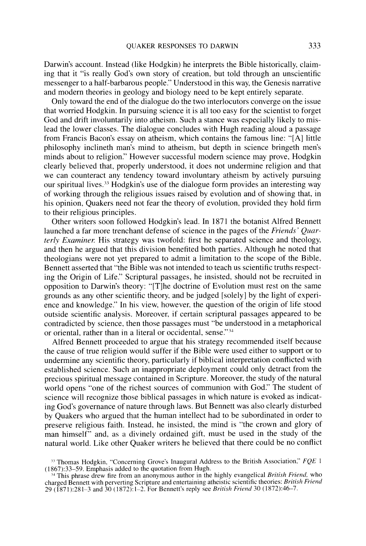Darwin's account. Instead (like Hodgkin) he interprets the Bible historically. claiming that it "is really God's own story of creation. but told through an unscientific messenger to a half-barbarous people." Understood in this way, the Genesis narrative and modern theories in geology and biology need to be kept entirely separate.

Only toward the end of the dialogue do the two interlocutors converge on the issue that worried Hodgkin. In pursuing science it is all too easy for the scientist to forget God and drift involuntarily into atheism. Such a stance was especially likely to mislead the lower classes. The dialogue concludes with Hugh reading aloud a passage from Francis Bacon's essay on atheism, which contains the famous line: "[A] little philosophy inclineth man's mind to atheism. but depth in science bringeth men's minds about to religion." However successful modern science may prove. Hodgkin clearly believed that. properly understood, it does not undermine religion and that we can counteract any tendency toward involuntary atheism by actively pursuing our spiritual lives.<sup>33</sup> Hodgkin's use of the dialogue form provides an interesting way of working through the religious issues raised by evolution and of showing that, in his opinion. Quakers need not fear the theory of evolution, provided they hold firm to their religious principles.

Other writers soon followed Hodgkin's lead. In 1871 the botanist Alfred Bennett launched a far more trenchant defense of science in the pages of the *Friends' Ouarterly Examiner.* His strategy was twofold: first he separated science and theology, and then he argued that this division benefited both parties. Although he noted that theologians were not yet prepared to admit a limitation to the scope of the Bible. Bennett asserted that "the Bible was not intended to teach us scientific truths respecting the Origin of Life." Scriptural passages. he insisted, should not be recruited in opposition to Darwin's theory: "[Tlhe doctrine of Evolution must rest on the same grounds as any other scientific theory. and be judged [solely] by the light of experience and knowledge." In his view. however, the question of the origin of life stood outside scientific analysis. Moreover. if certain scriptural passages appeared to be contradicted by science, then those passages must "be understood in a metaphorical or oriental, rather than in a literal or occidental, sense."<sup>34</sup>

Alfred Bennett proceeded to argue that his strategy recommended itself because the cause of true religion would suffer if the Bible were used either to support or to undermine any scientific theory. particularly if biblical interpretation conflicted with established science. Such an inappropriate deployment could only detract from the precious spiritual message contained in Scripture. Moreover, the study of the natural world opens "one of the richest sources of communion with God." The student of science will recognize those biblical passages in which nature is evoked as indicating God's governance of nature through laws. But Bennett was also clearly disturbed by Quakers who argued that the human intellect had to be subordinated in order to preserve religious faith. Instead, he insisted. the mind is "the crown and glory of man himself" and. as a divinely ordained gift, must be used in the study of the natural world. Like other Quaker writers he believed that there could be no conflict

<sup>&</sup>lt;sup>33</sup> Thomas Hodgkin, "Concerning Grove's Inaugural Address to the British Association," *FQE* 1 (1867):33–59. Emphasis added to the quotation from Hugh.

<sup>&</sup>lt;sup>34</sup> This phrase drew fire from an anonymous author in the highly evangelical *British Friend*, who charged Bennett with perverting Scripture and entertaining atheistic scientific theories: *British Frieild*  29 (187 **1** ):281-3 and 30 ( 1872): 1-2. For Bennett's reply \ee *British Friend* 30 (1872):16-7.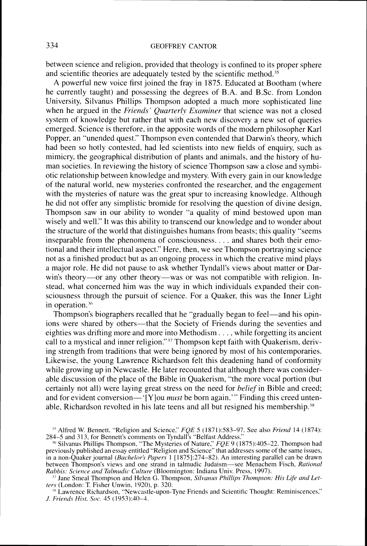between science and religion, provided that theology is confined to its proper sphere and scientific theories are adequately tested by the scientific method.<sup>35</sup>

A powerful new voice first joined the fray in 1875. Educated at Bootham (where he currently taught) and possessing the degrees of B.A. and B.Sc. from London University, Silvanus Phillips Thompson adopted a much more sophisticated line when he argued in the *Friends' Quarterly Examiner* that science was not a closed system of knowledge but rather that with each new discovery a new set of queries emerged. Science is therefore, in the apposite words of the modern philosopher Karl Popper. an "unended quest." Thompson even contended that Darwin's theory, which had been so hotly contested, had led scientists into new fields of enquiry, such as mimicry, the geographical distribution of plants and animals. and the history of human societies. In reviewing the history of science Thompson saw a close and symbiotic relationship between knowledge and mystery. With every gain in our knowledge of the natural world, new mysteries confronted the researcher, and the engagement with the mysteries of nature was the great spur to increasing knowledge. Although he did not offer any simplistic bromide for resolving the question of divine design, Thompson saw in our ability to wonder "a quality of mind bestowed upon man wisely and well." It was this ability to transcend our knowledge and to wonder about the structure of the world that distinguishes humans from beasts; this quality "seems inseparable from the phenomena of consciousness.  $\dots$  and shares both their emotional and their intellectual aspect." Here. then, we see Thompson portraying science not as a finished product but as an ongoing process in which the creative mind plays a major role. He did not pause to ask whether Tyndall's views about matter or Darwin's theory-or any other theory-was or was not compatible with religion. Instead. what concerned him was the way in which individuals expanded their consciousness through the pursuit of science. For a Quaker, this was the Inner Light in operation. $36$ 

Thompson's biographers recalled that he "gradually began to feel—and his opinions were shared by others—that the Society of Friends during the seventies and eighties was drifting more and more into Methodism . . . , while forgetting its ancient call to a mystical and inner religion."<sup>37</sup> Thompson kept faith with Quakerism, deriving strength from traditions that were being ignored by most of his contemporaries. Likewise, the young Lawrence Richardson felt this deadening hand of conformity while growing up in Newcastle. He later recounted that although there was considerable discussion of the place of the Bible in Quakerism, "the more vocal portion (but certainly not all) were laying great stress on the need for *belief* in Bible and creed; and for evident conversion—'[Y]ou *must* be born again.'" Finding this creed untenable, Richardson revolted in his late teens and all but resigned his membership.<sup>38</sup>

<sup>&</sup>lt;sup>35</sup> Alfred W. Bennett, "Religion and Science," FQE 5 (1871):583-97. See also *Friend* 14 (1874):

<sup>284–5</sup> and 313, for Bennett's comments on Tyndall's "Belfast Address."<br><sup>36</sup> Silvanus Phillips Thompson, "The Mysteries of Nature," *FQE* 9 (1875):405–22. Thompson had<br>previously published an essay entitled "Religion and Sci in a non-Quaker journal ( *Buc~hclor-1sPapers* 1 [I 8751:271-82). An interesting parallel can be drawn between Thompson's views and one strand in talmudic Judaism—see Menachem Fisch, Rational *Rabbis: Science and Talmudic Culture* (Bloomington: Indiana Univ. Press, 1997).

Jane Smeal Thompson and Helen G. Thompson, *Silvanus Phillips Thompson: His Life and Let*ters (London: T. Fisher Unwin, 1920), p. 320.

<sup>&</sup>lt;sup>38</sup> Lawrence Richardson, "Newcastle-upon-Tyne Friends and Scientific Thought: Reminiscences," J. *Frier1tl.s Mi\r. Soc.* **15** ( 195?):30-4.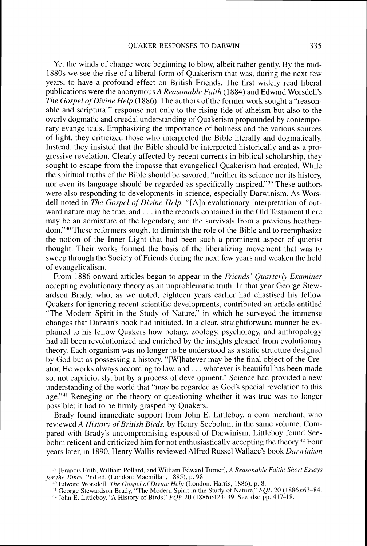Yet the winds of change were beginning to blow. albeit rather gently. By the mid-1880s we see the rise of a liberal form of Quakerism that was, during the next few years, to have a profound effect on British Friends. The first widely read liberal publications were the anonymous A *Reasonable Faith* (1884) and Edward Worsdell's *The Gospel* of *Divine Help* (1886). The authors of the former work sought a "reasonable and scriptural" response not only to the rising tide of atheism but also to the overly dogmatic and creedal understanding of Quakerism propounded by contemporary evangelicals. Emphasizing the importance of holiness and the various sources of light, they criticized those who interpreted the Bible literally and dogmatically. Instead, they insisted that the Bible should be interpreted historically and as a progressive revelation. Clearly affected by recent currents in biblical scholarship, they sought to escape from the impasse that evangelical Quakerism had created. While the spiritual truths of the Bible should be savored. "neither its science nor its history. nor even its language should be regarded as specifically inspired."<sup>39</sup> These authors were also responding to developments in science, especially Darwinism. As Worsdell noted in *The Gospel of Divine Help*, "[A]n evolutionary interpretation of outward nature may be true, and . . . in the records contained in the Old Testament there may be an admixture of the legendary. and the survivals from a previous heathendom.""' These reformers sought to diminish the role of the Bible and to reemphasize the notion of the Inner Light that had been such a prominent aspect of quietist thought. Their works formed the basis of the liberalizing movement that was to sweep through the Society of Friends during the next few years and weaken the hold of evangelicalism.

From 1886 onward articles began to appear in the *Friends' Ouarterly Examiner* accepting evolutionary theory as an unproblematic truth. In that year George Stewardson Brady. who, as we noted, eighteen years earlier had chastised his fellow Quakers for ignoring recent scientific developments, contributed an article entitled "The Modern Spirit in the Study of Nature," in which he surveyed the immense changes that Darwin's book had initiated. In a clear, straightforward manner he explained to his fellow Quakers how botany, zoology. psychology. and anthropology had all been revolutionized and enriched by the insights gleaned from evolutionary theory. Each organism was no longer to be understood as a static structure designed by God but as possessing a history. "[Wlhatever may be the final object of the Creator, He works always according to law. and . . . whatever is beautiful has been made so, not capriciously, but by a process of development." Science had provided a new understanding of the world that "may be regarded as Cod's special revelation to this age."<sup>41</sup> Reneging on the theory or questioning whether it was true was no longer possible: it had to be firmly grasped by Quakers.

Brady found immediate support from John E. Littleboy, a corn merchant, who reviewed A History of British Birds, by Henry Seebohm, in the same volume. Compared with Brady's uncompromising espousal of Darwinism, Littleboy found Seebohm reticent and criticized him for not enthusiastically accepting the theory.<sup>42</sup> Four years later, in 1890, Henry Wallis reviewed Alfred Russel Wallace's book *Darwinism* 

<sup>&</sup>lt;sup>39</sup> [Francis Frith, William Pollard, and William Edward Turner], A *Reasonable Faith: Short Essays for the Times, 2nd ed. (London: Macmillan, 1885), p. 98.* 

<sup>&</sup>lt;sup>40</sup> Edward Worsdell, *The Gospel of Divine Help* (London: Harris, 1886), p. 8.

<sup>&</sup>quot; George Stewardson Brady. "The Modern Spirit in the Study of Nature." *FQE* 20 (1886):63-84. "' John E. Littleboy. "A History of Birds.'' *FQE* 20 i1886):423-39. See also pp. 417-1 8.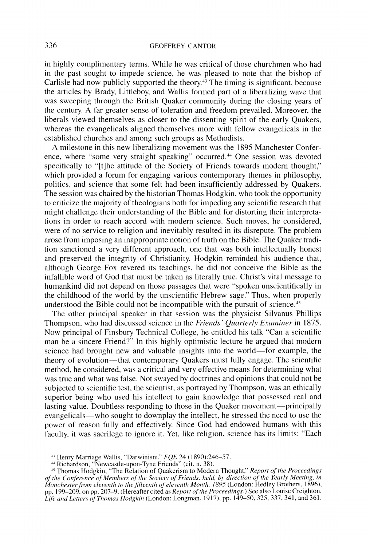in highly complimentary terms. While he was critical of those churchmen who had in the past sought to impede science. he was pleased to note that the bishop of Carlisle had now publicly supported the theory.<sup> $43$ </sup> The timing is significant, because the articles by Brady. Littleboy, and Wallis formed part of a liberalizing wave that was sweeping through the British Quaker community during the closing years of the century. A far greater sense of toleration and freedom prevailed. Moreover, the liberals viewed themselves as closer to the dissenting spirit of the early Quakers, whereas the evangelicals aligned themselves more with fellow evangelicals in the established churches and among such groups as Methodists.

A milestone in this new liberalizing movement was the 1895 Manchester Conference, where "some very straight speaking" occurred.<sup>44</sup> One session was devoted specifically to "[t]he attitude of the Society of Friends towards modern thought," which provided a forum for engaging various contemporary themes in philosophy, politics. and science that some felt had been insufficiently addressed by Quakers. The session was chaired by the historian Thomas Hodgkin. who took the opportunity to criticize the majority of theologians both for impeding any scientific research that might challenge their understanding of the Bible and for distorting their interpretations in order to reach accord with modern science. Such moves, he considered, were of no service to religion and inevitably resulted in its disrepute. The problem arose from imposing an inappropriate notion of truth on the Bible. The Quaker tradition sanctioned a very different approach, one that was both intellectually honest and preserved the integrity of Christianity. Hodgkin reminded his audience that, although George Fox revered its teachings. he did not conceive the Bible as the infallible word of God that must be taken as literally true. Christ's vital message to humankind did not depend on those passages that were "spoken unscientifically in the childhood of the world by the unscientific Hebrew sage." Thus, when properly understood the Bible could not be incompatible with the pursuit of science.<sup>45</sup>

The other principal speaker in that session was the physicist Silvanus Phillips Thompson, who had discussed science in the *Friends' Quarterly Examiner* in 1875. Now principal of Finsbury Technical College. he entitled his talk "Can a scientific man be a sincere Friend?" In this highly optimistic lecture he argued that modern science had brought new and valuable insights into the world—for example, the theory of evolution—that contemporary Quakers must fully engage. The scientific method. he considered, was a critical and very effective means for determining what was true and what was false. Not swayed by doctrines and opinions that could not be subjected to scientific test, the scientist. as portrayed by Thompson. was an ethically superior being who used his intellect to gain knowledge that possessed real and lasting value. Doubtless responding to those in the Quaker movement—principally evangelicals-who sought to downplay the intellect, he stressed the need to use the power of reason fully and effectively. Since God had endowed humans with this faculty. it was sacrilege to ignore it. Yet. like religion, science has its limits: "Each

<sup>&</sup>lt;sup>43</sup> Henry Marriage Wallis, "Darwinism," *FOE* 24 (1890):246-57.

<sup>&</sup>lt;sup>44</sup> Richardson, "Newcastle-upon-Tyne Friends" (cit. n. 38).

<sup>&</sup>lt;sup>45</sup> Thomas Hodgkin, "The Relation of Quakerism to Modern Thought," *Report of the Proceedings of the Conference of Members of the Society of Friends, held, by direction of the Yearly Meeting, in Manchester from eleventh to the fifteenth of eleventh Month, 1895 (London: Hedley Brothers, 1896),* pp. 199-209, on pp. 207-9. (Hereafter cited as *Report of the Proceedings*.) See also Louise Creighton, *Life and Letters of Thomas Hodgkin* (London: Longman, 1917), pp. 149–50, 325, 337, 341, and 361.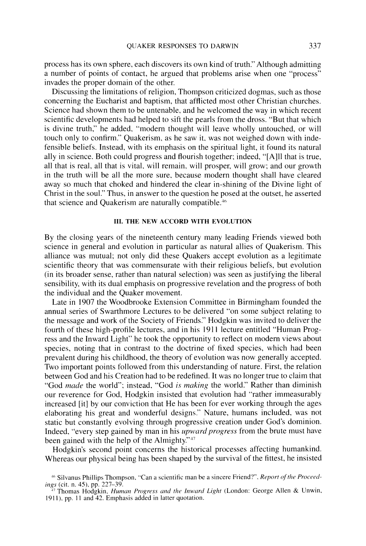process has its own sphere, each discovers its own kind of truth." Although admitting a number of points of contact, he argued that problems arise when one "process" invades the proper domain of the other.

Discussing the limitations of religion, Thompson criticized dogmas, such as those concerning the Eucharist and baptism, that afflicted most other Christian churches. Science had shown them to be untenable. and he welcomed the way in which recent scientific developments had helped to sift the pearls from the dross. "But that which is divine truth," he added. "modern thought will leave wholly untouched, or will touch only to confirm." Quakerism. as he saw it. was not weighed down with indefensible beliefs. Instead, with its emphasis on the spiritual light, it found its natural ally in science. Both could progress and flourish together; indeed, "[A] l that is true, all that is real, all that is vital. will remain, will prosper, will grow; and our growth in the truth will be all the more sure, because modern thought shall have cleared away so much that choked and hindered the clear in-shining of the Divine light of Christ in the soul." Thus, in answer to the question he posed at the outset, he asserted that science and Quakerism are naturally compatible. $46$ 

#### **111. THE NEM' ACCORD WITH EVOLUTION**

By the closing years of the nineteenth century many leading Friends viewed both science in general and evolution in particular as natural allies of Quakerism. This alliance was mutual; not only did these Quakers accept evolution as a legitimate scientific theory that was commensurate with their religious beliefs, but evolution (in its broader sense, rather than natural selection) was seen as justifying the liberal sensibility, with its dual emphasis on progressive revelation and the progress of both the individual and the Quaker movement.

Late in 1907 the Woodbrooke Extension Committee in Birmingham founded the annual series of Swarthmore Lectures to be delivered "on some subject relating to the message and work of the Society of Friends." Hodgkin was invited to deliver the fourth of these high-profile lectures, and in his 1911 lecture entitled "Human Progress and the Inward Light" he took the opportunity to reflect on modern views about species, noting that in contrast to the doctrine of fixed species, which had been prevalent during his childhood. the theory of evolution was now generally accepted. Two important points followed from this understanding of nature. First, the relation between God and his Creation had to be redefined. It was no longer true to claim that "God *made* the world"; instead, "God is making the world." Rather than diminish our reverence for God, Hodgkin insisted that evolution had "rather immeasurably increased [it] by our conviction that He has been for ever working through the ages elaborating his great and wonderful designs." Nature, humans included. was not static but constantly evolving through progressive creation under God's dominion. Indeed, "every step gained by man in his *upward progress* from the brute must have been gained with the help of the Almighty." $47$ 

Hodgkin's second point concerns the historical processes affecting humankind. Whereas our physical being has been shaped by the survival of the fittest, he insisted

<sup>&</sup>lt;sup>46</sup> Silvanus Phillips Thompson, "Can a scientific man be a sincere Friend?". *Report of the Proceedings* (cit. n. 45), pp. 227–39.

<sup>&</sup>lt;sup>47</sup> Thomas Hodgkin, *Human Progress and the Inward Light* (London: George Allen & Unwin, 1911). pp. 11 and 42. Emphasis added in latter quotation.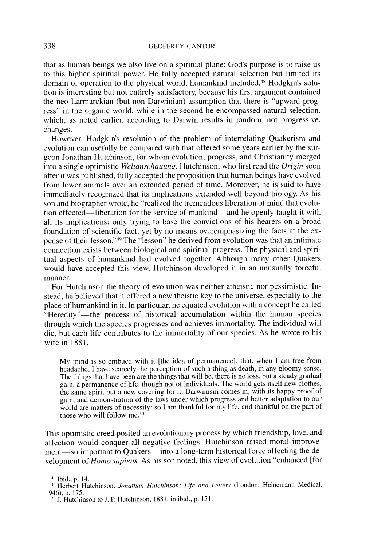### 338 GEOFFREY CANTOR

that as human beings we also live on a spiritual plane: God's purpose is to raise us to this higher spiritual power. He fully accepted natural selection but limited its domain of operation to the physical world, humankind included." Hodgkin's solution is interesting but not entirely satisfactory, because his first argument contained the neo-Larmarckian (but non-Darwinian) assumption that there is "upward progress" in the organic world, while in the second he encompassed natural selection, which, as noted earlier, according to Darwin results in random, not progressive, changes.

However, Hodgkin's resolution of the problem of interrelating Quakerism and evolution can usefully be compared with that offered some years earlier by the surgeon Jonathan Hutchinson. for whom evolution, progress, and Christianity merged into a single optinlistic *Weltarzschauurzg.*Hutchinson, who first read the *Origin* soon after it was published, fully accepted the proposition that human beings have evolved from lower animals over an extended period of time. Moreover, he is said to have immediately recognized that its implications extended well beyond biology. As his son and biographer wrote. he "realized the tremendous liberation of mind that evolution effected-liberation for the service of mankind-and he openly taught it with all its implications: only trying to base the convictions of his hearers on a broad foundation of scientific fact: yet by no means overemphasizing the facts at the expense of their lesson."49 The "lesson" he derived from evolution was that an intimate connection exists between biological and spiritual progress. The physical and spiritual aspects of humankind had evolved together. Although many other Quakers would have accepted this view, Hutchinson developed it in an unusually forceful manner.

For Hutchinson the theory of evolution was neither atheistic nor pessimistic. Instead, he believed that it offered a new theistic key to the universe, especially to the place of humankind in it. In particular, he equated evolution with a concept he called  $H$ -Heredity"—the process of historical accumulation within the human species through which the species progresses and achieves immortality. The individual will die. but each life contributes to the immortality of our species. As he wrote to his wife in 1881.

My mind is so embued with it [the idea of permanence], that, when I am free from headache. I have scarcely the perception of such a thing as death, in any gloomy sense. The things that have been are the things that will be, there is no loss. but a steady gradual gain, a permanence of life, though not of individuals. The world gets itself new clothes. the same spirit but a new covering for it. Darwinism comes in, with its happy proof of gain. and dernonstration of the laws under which progress and better adaptation to our world are matters of necessity: so I am thankful for my life, and thankful on the part of those who will follow me.<sup>50</sup>

This optimistic creed posited an evolutionary process by which friendship, love, and affection would conquer all negative feelings. Hutchinson raised moral improvement-so important to Quakers-into a long-term historical force affecting the development of *Homo sapiens*. As his son noted, this view of evolution "enhanced [for

<sup>48</sup> Ibid., p. 14.

<sup>&</sup>lt;sup>40</sup> Herbert Hutchinson, *Jonathan Hutchinson: Life and Letters* (London: Heinemann Medical, 1946). **p.** 175.

 $^{40}$ , p. 175.<br><sup>0</sup> J. Hutchinson to J. P. Hutchinson, 1881, in ibid., p. 151.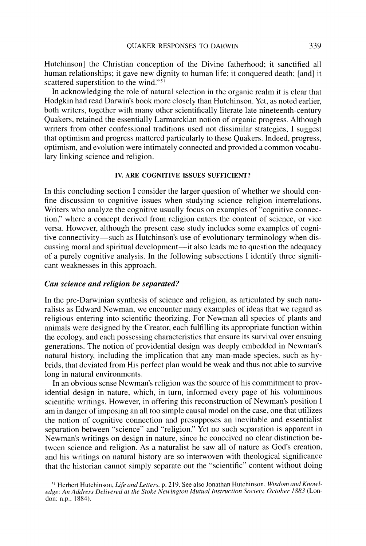Hutchinson] the Christian conception of the Divine fatherhood; it sanctified all human relationships; it gave new dignity to human life; it conquered death: [and] it scattered superstition to the wind."5'

In acknowledging the role of natural selection in the organic realm it is clear that Hodgkin had read Darwin's book more closely than Hutchinson. Yet, as noted earlier, both writers, together with many other scientifically literate late nineteenth-century Quakers, retained the essentially Larmarckian notion of organic progress. Although writers from other confessional traditions used not dissimilar strategies, I suggest that optimism and progress mattered particularly to these Quakers. Indeed. progress, optimism, and evolution were intimately connected and provided a common vocabulary linking science and religion.

#### **IV. ARE COGNITIVE ISSUES SUFFICIENT?**

In this concluding section I consider the larger question of whether we should confine discussion to cognitive issues when studying science-religion interrelations. Writers who analyze the cognitive usually focus on examples of "cognitive connection." where a concept derived from religion enters the content of science, or vice versa. However. although the present case study includes some examples of cognitive connectivity—such as Hutchinson's use of evolutionary terminology when discussing moral and spiritual development—it also leads me to question the adequacy of a purely cognitive analysis. In the following subsections I identify three significant weaknesses in this approach.

#### *Can science and religion be separated?*

In the pre-Darwinian synthesis of science and religion, as articulated by such naturalists as Edward Newman, we encounter many examples of ideas that we regard as religious entering into scientific theorizing. For Newman all species of plants and animals were designed by the Creator, each fulfilling its appropriate function within the ecology. and each possessing characteristics that ensure its survival over ensuing generations. The notion of providential design was deeply embedded in Newman's natural history, including the implication that any man-made species. such as hybrids, that deviated from His perfect plan would be weak and thus not able to survive long in natural environments.

In an obvious sense Newman's religion was the source of his commitment to providential design in nature, which. in turn, informed every page of his voluminous scientific writings. However, in offering this reconstruction of Newman's position I am in danger of imposing an all too simple causal model on the case. one that utilizes the notion of cognitive connection and presupposes an inevitable and essentialist separation between "science" and "religion." Yet no such separation is apparent in Newman's writings on design in nature, since he conceived no clear distinction between science and religion. As a naturalist he saw all of nature as God's creation, and his writings on natural history are so interwoven with theological significance that the historian cannot simply separate out the "scientific" content without doing

<sup>&</sup>lt;sup>51</sup> Herbert Hutchinson, *Life and Letters*, p. 219. See also Jonathan Hutchinson, *Wisdom and Knowledge: An Address Delivered at the Stoke Newington Mutual Instruction Society, October 1883* (London: n.p.. 1883).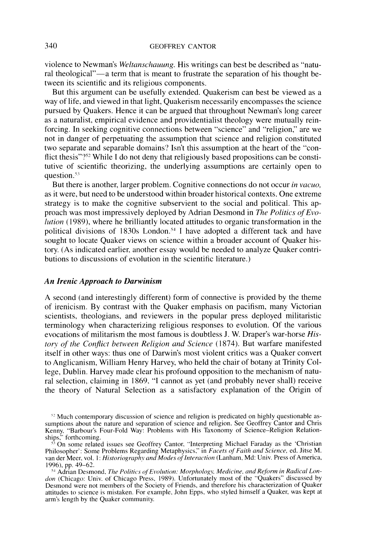violence to Newman's *Weltanschauung*. His writings can best be described as "natural theological"—a term that is meant to frustrate the separation of his thought between its scientific and its religious components.

But this argument can be usefully extended. Quakerism can best be viewed as a way of life. and viewed in that light, Quakerism necessarily encompasses the science pursued by Quakers. Hence it can be argued that throughout Newman's long career as a naturalist. empirical evidence and providentialist theology were mutually reinforcing. In seeking cognitive connections between "science" and "religion," are we not in danger of perpetuating the assumption that science and religion constituted two separate and separable domains? Isn't this assumption at the heart of the "conflict thesis"?<sup>52</sup> While I do not deny that religiously based propositions can be constitutive of scientific theorizing, the underlying assumptions are certainly open to question.<sup>53</sup>

But there is another, larger problem. Cognitive connections do not occur *in vacuo*, as it were, but need to be understood within broader historical contexts. One extreme strategy is to make the cognitive subservient to the social and political. This approach was most impressively deployed by Adrian Desmond in *The Politics of Evo*-*Iution* (1989), where he brilliantly located attitudes to organic transformation in the political divisions of 1830s London.<sup>54</sup> I have adopted a different tack and have sought to locate Quaker views on science within a broader account of Quaker history. (As indicated earlier. another essay would be needed to analyze Quaker contributions to discussions of evolution in the scientific literature.)

## *An Irenic Approach to Darwiriisnt*

A second (and interestingly different) form of connective is provided by the theme of irenicism. By contrast with the Quaker emphasis on pacifism, many Victorian scientists. theologians, and reviewers in the popular press deployed militaristic terminology when characterizing religious responses to evolution. Of the various evocations of militarism the most famous is doubtless J. W. Draper's war-horse *History of the Conflict between Religion and Science* (1874). But warfare manifested itself in other ways: thus one of Darwin's most violent critics was a Quaker convert to Anglicanism. William Henry Harvey. who held the chair of botany at Trinity College, Dublin. Harvey made clear his profound opposition to the mechanism of natural selection. claiming in 1869. "1 cannot as yet (and probably never shall) receive the theory of Natural Selection as a satisfactory explanation of the Origin of

 $52$  Much contemporary discussion of science and religion is predicated on highly questionable as-<br>sumptions about the nature and separation of science and religion. See Geoffrey Cantor and Chris sumptions about the nature and separation of science and religion. See Geoffrey Cantor and Chris<br>Kenny, "Barbour's Four-Fold Way: Problems with His Taxonomy of Science–Religion Relation-<br>ships," forthcoming.

 $5<sup>3</sup>$  On some related issues see Geoffrey Cantor, "Interpreting Michael Faraday as the 'Christian Philosopher': Some Problems Regarding Metaphysics," in *Facets of Faith and Science*, ed. Jitse M. van der Meer, vol. 1: *Historiography and Modes of Interaction* (Lanham, Md: Univ. Press of America, 1996). pp. 49-62.

<sup>&</sup>lt;sup>54</sup> Adrian Desmond, *The Politics of Evolution: Morphology, Medicine, and Reform in Radical Lontlarl* (Chicago: Univ. of Chicago Press. 1989). Unfortunately most of the "Quakers" discussed by Desmond were not members of the Society of Friends. and therefore his characterization of Quaker attitudes to science is mistaken. For example. John Epps, who styled himself a Quaker. was kept at arm's length by the Quaker community.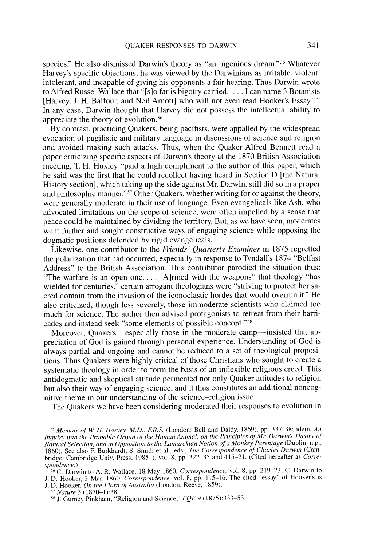species." He also dismissed Darwin's theory as "an ingenious dream."55 Whatever Harvey's specific objections, he was viewed by the Darwinians as irritable, violent. intolerant, and incapable of giving his opponents a fair hearing. Thus Darwin wrote to Alfred Russel Wallace that "[slo far is bigotry carried, . . .I can name 3 Botanists [Harvey, J. H. Balfour. and Neil Arnott] who will not even read Hooker's Essay!!" In any case, Darwin thought that Harvey did not possess the intellectual ability to appreciate the theory of evolution.<sup>56</sup>

By contrast, practicing Quakers, being pacifists, were appalled by the widespread evocation of pugilistic and military language in discussions of science and religion and avoided making such attacks. Thus, when the Quaker Alfred Bennett read a paper criticizing specific aspects of Darwin's theory at the 1870 British Association meeting, T. H. Huxley "paid a high compliment to the author of this paper, which he said was the tirst that he could recollect having heard in Section D [the Natural History section], which taking up the side against Mr. Darwin, still did so in a proper and philosophic manner."<sup>57</sup> Other Quakers, whether writing for or against the theory, were generally moderate in their use of language. Even evangelicals like Ash. who advocated limitations on the scope of science, were often impelled by a sense that peace could be maintained by dividing the territory But. as we have seen. moderates went further and sought constructive ways of engaging science while opposing the dogmatic positions defended by rigid evangelicals.

Likewise, one contributor to the *Friends' Quarterly Examiner* in 1875 regretted the polarization that had occurred, especially in response to Tyndall's 1874 "Belfast Address" to the British Association. This contributor parodied the situation thus: "The warfare is an open one. . . . [Alrmed with the weapons" that theology "has wielded for centuries," certain arrogant theologians were "striving to protect her sacred domain from the invasion of the iconoclastic hordes that would overrun it." He also criticized. though less severely, those immoderate scientists who claimed too much for science. The author then advised protagonists to retreat from their barricades and instead seek "some elements of possible concord."<sup>58</sup>

Moreover, Quakers—especially those in the moderate camp—insisted that appreciation of God is gained through personal experience. Understanding of God is always partial and ongoing and cannot be reduced to a set of theological propositions. Thus Quakers were highly critical of those Christians who sought to create a systematic theology in order to form the basis of an inflexible religious creed. This antidogmatic and skeptical attitude permeated not only Quaker attitudes to religion but also their way of engaging science, and it thus constitutes an additional noncognitive theme in our understanding of the science-religion issue.

The Quakers we have been considering moderated their responses to evolution in

<sup>55</sup> Memoir of W. H. Harvey, M.D., F.R.S. (London: Bell and Daldy, 1869), pp. 337-38; idem, An *Inquiry into the Probable Origin of the Human Animal, on the Principles of Mr. Darwin's Theory of Natural Selection, and in Opposition to the Lamarckian Notion of a Monkey Parentage (Dublin: n.p.,* 1860). See also F. Burkhardt, S. Smith et al., eds., *The Correspondence of Charles Darwin* (Cambridge: Cambridge Univ. Press. 1985-). vol. 8. pp. 327-35 and 415-21. (Cited hereafter as *Corre* $spondence.$ )

<sup>&</sup>lt;sup>6</sup> C. Darwin to A. R. Wallace, 18 May 1860, *Correspondence*, vol. 8, pp. 219–23; C. Darwin to J. D. Hooker, 3 Mar. 1860, *Correspondence*, vol. 8, pp. 115–16. The cited "essay" of Hooker's is J. D. Hooker, On the Flora of Australia (London: Reeve. 1859).

<sup>&</sup>lt;sup>57</sup> Nature 3 (1870-1):38.

<sup>&</sup>lt;sup>58</sup> J. Gurney Pinkham. "Religion and Science." *FQE* 9 (1875):333-53.